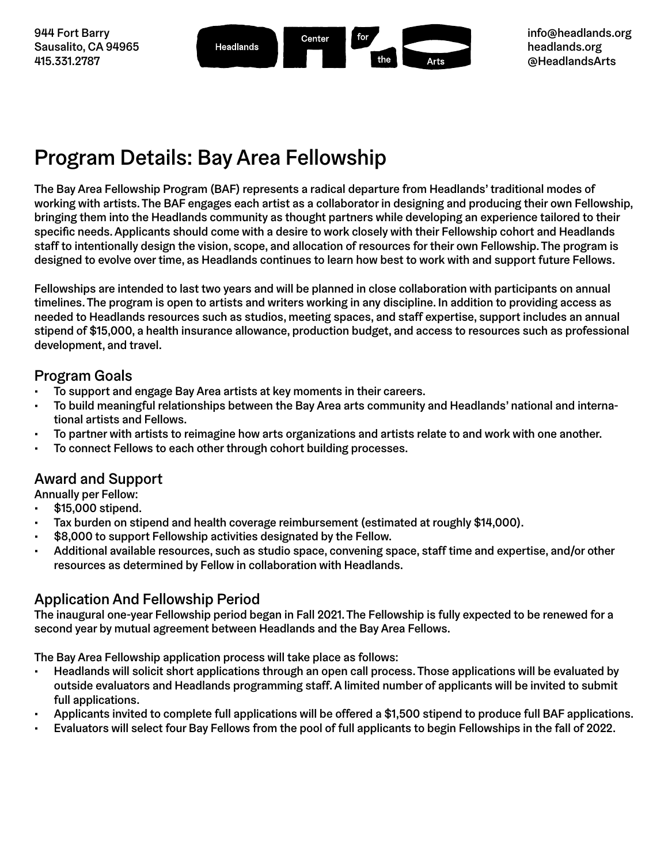944 Fort Barry Sausalito, CA 94965 415.331.2787



# Program Details: Bay Area Fellowship

The Bay Area Fellowship Program (BAF) represents a radical departure from Headlands' traditional modes of working with artists. The BAF engages each artist as a collaborator in designing and producing their own Fellowship, bringing them into the Headlands community as thought partners while developing an experience tailored to their specific needs. Applicants should come with a desire to work closely with their Fellowship cohort and Headlands staff to intentionally design the vision, scope, and allocation of resources for their own Fellowship. The program is designed to evolve over time, as Headlands continues to learn how best to work with and support future Fellows.

Fellowships are intended to last two years and will be planned in close collaboration with participants on annual timelines. The program is open to artists and writers working in any discipline. In addition to providing access as needed to Headlands resources such as studios, meeting spaces, and staff expertise, support includes an annual stipend of \$15,000, a health insurance allowance, production budget, and access to resources such as professional development, and travel.

### Program Goals

- To support and engage Bay Area artists at key moments in their careers.
- To build meaningful relationships between the Bay Area arts community and Headlands' national and international artists and Fellows.
- To partner with artists to reimagine how arts organizations and artists relate to and work with one another.
- To connect Fellows to each other through cohort building processes.

## Award and Support

Annually per Fellow:

- \$15,000 stipend.
- Tax burden on stipend and health coverage reimbursement (estimated at roughly \$14,000).
- \$8,000 to support Fellowship activities designated by the Fellow.
- Additional available resources, such as studio space, convening space, staff time and expertise, and/or other resources as determined by Fellow in collaboration with Headlands.

## Application And Fellowship Period

The inaugural one-year Fellowship period began in Fall 2021. The Fellowship is fully expected to be renewed for a second year by mutual agreement between Headlands and the Bay Area Fellows.

The Bay Area Fellowship application process will take place as follows:

- Headlands will solicit short applications through an open call process. Those applications will be evaluated by outside evaluators and Headlands programming staff. A limited number of applicants will be invited to submit full applications.
- Applicants invited to complete full applications will be offered a \$1,500 stipend to produce full BAF applications.
- Evaluators will select four Bay Fellows from the pool of full applicants to begin Fellowships in the fall of 2022.